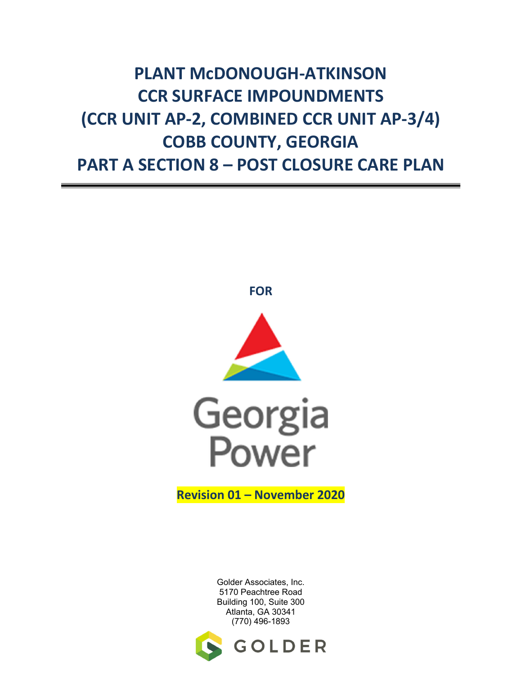## **PLANT McDONOUGH-ATKINSON CCR SURFACE IMPOUNDMENTS (CCR UNIT AP-2, COMBINED CCR UNIT AP-3/4) COBB COUNTY, GEORGIA PART A SECTION 8 – POST CLOSURE CARE PLAN**







**Revision 01 – November 2020** 

Golder Associates, Inc. 5170 Peachtree Road Building 100, Suite 300 Atlanta, GA 30341 (770) 496-1893

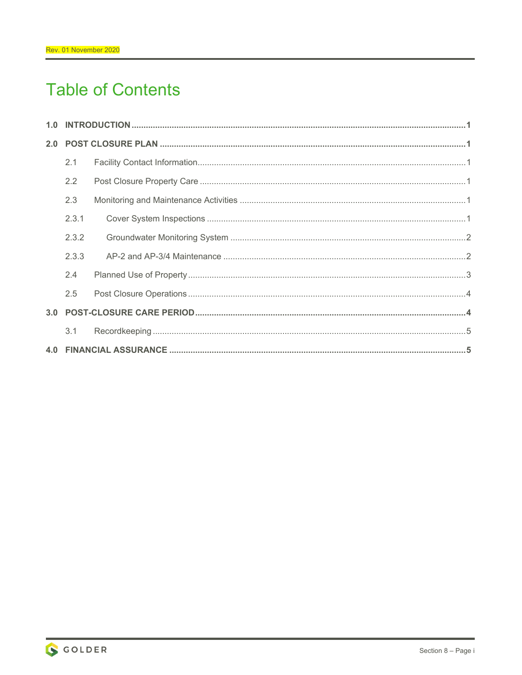## **Table of Contents**

| 2.1           |  |  |
|---------------|--|--|
| $2.2^{\circ}$ |  |  |
| 2.3           |  |  |
| 2.3.1         |  |  |
| 2.3.2         |  |  |
| 2.3.3         |  |  |
| 2.4           |  |  |
| 2.5           |  |  |
|               |  |  |
| 3.1           |  |  |
|               |  |  |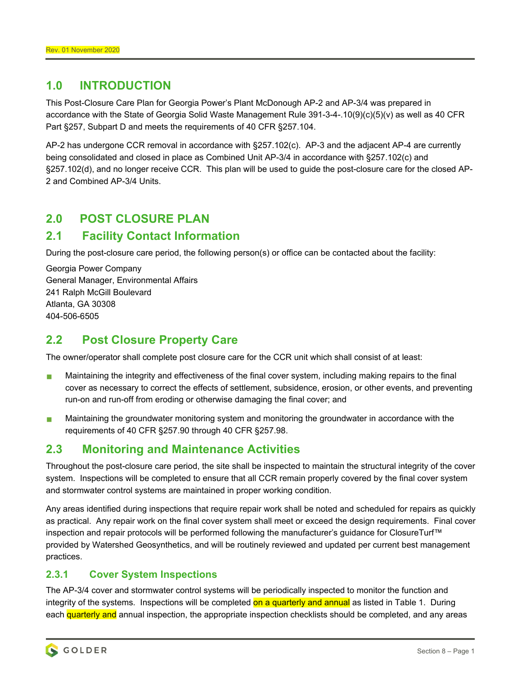## **1.0 INTRODUCTION**

This Post-Closure Care Plan for Georgia Power's Plant McDonough AP-2 and AP-3/4 was prepared in accordance with the State of Georgia Solid Waste Management Rule 391-3-4-.10(9)(c)(5)(v) as well as 40 CFR Part §257, Subpart D and meets the requirements of 40 CFR §257.104.

AP-2 has undergone CCR removal in accordance with §257.102(c). AP-3 and the adjacent AP-4 are currently being consolidated and closed in place as Combined Unit AP-3/4 in accordance with §257.102(c) and §257.102(d), and no longer receive CCR. This plan will be used to guide the post-closure care for the closed AP-2 and Combined AP-3/4 Units.

## **2.0 POST CLOSURE PLAN**

## **2.1 Facility Contact Information**

During the post-closure care period, the following person(s) or office can be contacted about the facility:

Georgia Power Company General Manager, Environmental Affairs 241 Ralph McGill Boulevard Atlanta, GA 30308 404-506-6505

## **2.2 Post Closure Property Care**

The owner/operator shall complete post closure care for the CCR unit which shall consist of at least:

- **Maintaining the integrity and effectiveness of the final cover system, including making repairs to the final** cover as necessary to correct the effects of settlement, subsidence, erosion, or other events, and preventing run-on and run-off from eroding or otherwise damaging the final cover; and
- **Maintaining the groundwater monitoring system and monitoring the groundwater in accordance with the** requirements of 40 CFR §257.90 through 40 CFR §257.98.

## **2.3 Monitoring and Maintenance Activities**

Throughout the post-closure care period, the site shall be inspected to maintain the structural integrity of the cover system. Inspections will be completed to ensure that all CCR remain properly covered by the final cover system and stormwater control systems are maintained in proper working condition.

Any areas identified during inspections that require repair work shall be noted and scheduled for repairs as quickly as practical. Any repair work on the final cover system shall meet or exceed the design requirements. Final cover inspection and repair protocols will be performed following the manufacturer's guidance for ClosureTurf™ provided by Watershed Geosynthetics, and will be routinely reviewed and updated per current best management practices.

### **2.3.1 Cover System Inspections**

The AP-3/4 cover and stormwater control systems will be periodically inspected to monitor the function and integrity of the systems. Inspections will be completed on a quarterly and annual as listed in Table 1. During each quarterly and annual inspection, the appropriate inspection checklists should be completed, and any areas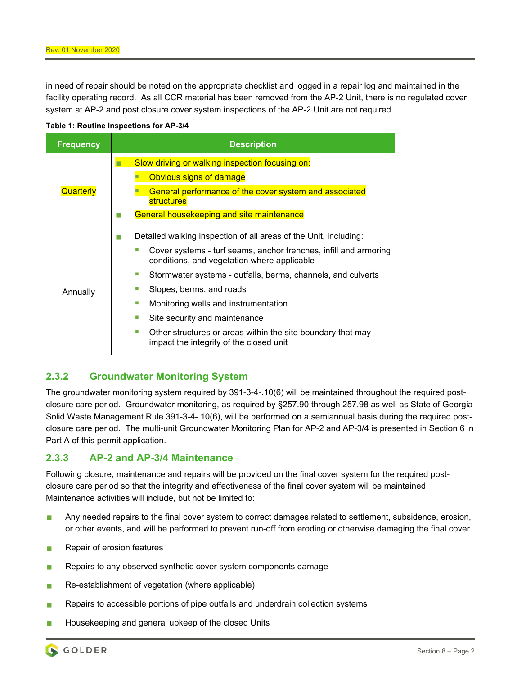in need of repair should be noted on the appropriate checklist and logged in a repair log and maintained in the facility operating record. As all CCR material has been removed from the AP-2 Unit, there is no regulated cover system at AP-2 and post closure cover system inspections of the AP-2 Unit are not required.



| <b>Frequency</b> | <b>Description</b>                                                                                                                                                                                                                                                                                                                                                                                                                                                                        |
|------------------|-------------------------------------------------------------------------------------------------------------------------------------------------------------------------------------------------------------------------------------------------------------------------------------------------------------------------------------------------------------------------------------------------------------------------------------------------------------------------------------------|
| Quarterly        | Slow driving or walking inspection focusing on:<br>Obvious signs of damage<br>General performance of the cover system and associated<br><b>structures</b><br><b>General housekeeping and site maintenance</b>                                                                                                                                                                                                                                                                             |
| Annually         | Detailed walking inspection of all areas of the Unit, including:<br>Cover systems - turf seams, anchor trenches, infill and armoring<br>conditions, and vegetation where applicable<br>Stormwater systems - outfalls, berms, channels, and culverts<br>×.<br>Slopes, berms, and roads<br>Monitoring wells and instrumentation<br>ш<br>Site security and maintenance<br>×.<br>Other structures or areas within the site boundary that may<br>m.<br>impact the integrity of the closed unit |

### **2.3.2 Groundwater Monitoring System**

The groundwater monitoring system required by 391-3-4-.10(6) will be maintained throughout the required postclosure care period. Groundwater monitoring, as required by §257.90 through 257.98 as well as State of Georgia Solid Waste Management Rule 391-3-4-.10(6), will be performed on a semiannual basis during the required postclosure care period. The multi-unit Groundwater Monitoring Plan for AP-2 and AP-3/4 is presented in Section 6 in Part A of this permit application.

### **2.3.3 AP-2 and AP-3/4 Maintenance**

Following closure, maintenance and repairs will be provided on the final cover system for the required postclosure care period so that the integrity and effectiveness of the final cover system will be maintained. Maintenance activities will include, but not be limited to:

- Any needed repairs to the final cover system to correct damages related to settlement, subsidence, erosion, or other events, and will be performed to prevent run-off from eroding or otherwise damaging the final cover.
- **Repair of erosion features**
- Repairs to any observed synthetic cover system components damage
- Re-establishment of vegetation (where applicable)
- Repairs to accessible portions of pipe outfalls and underdrain collection systems
- Housekeeping and general upkeep of the closed Units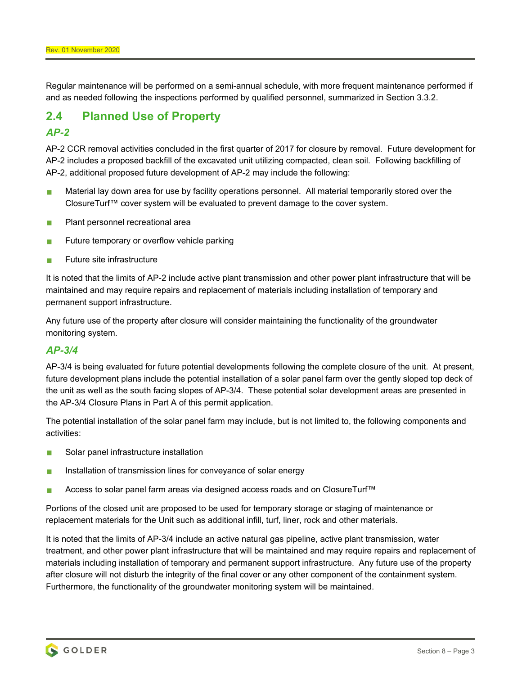Regular maintenance will be performed on a semi-annual schedule, with more frequent maintenance performed if and as needed following the inspections performed by qualified personnel, summarized in Section 3.3.2.

# **2.4 Planned Use of Property**

### *AP-2*

AP-2 CCR removal activities concluded in the first quarter of 2017 for closure by removal. Future development for AP-2 includes a proposed backfill of the excavated unit utilizing compacted, clean soil. Following backfilling of AP-2, additional proposed future development of AP-2 may include the following:

- **Material lay down area for use by facility operations personnel. All material temporarily stored over the** ClosureTurf™ cover system will be evaluated to prevent damage to the cover system.
- **Plant personnel recreational area**
- **Future temporary or overflow vehicle parking**
- $\blacksquare$  Future site infrastructure

It is noted that the limits of AP-2 include active plant transmission and other power plant infrastructure that will be maintained and may require repairs and replacement of materials including installation of temporary and permanent support infrastructure.

Any future use of the property after closure will consider maintaining the functionality of the groundwater monitoring system.

### *AP-3/4*

AP-3/4 is being evaluated for future potential developments following the complete closure of the unit. At present, future development plans include the potential installation of a solar panel farm over the gently sloped top deck of the unit as well as the south facing slopes of AP-3/4. These potential solar development areas are presented in the AP-3/4 Closure Plans in Part A of this permit application.

The potential installation of the solar panel farm may include, but is not limited to, the following components and activities:

- Solar panel infrastructure installation
- **Installation of transmission lines for conveyance of solar energy**
- Access to solar panel farm areas via designed access roads and on ClosureTurf™

Portions of the closed unit are proposed to be used for temporary storage or staging of maintenance or replacement materials for the Unit such as additional infill, turf, liner, rock and other materials.

It is noted that the limits of AP-3/4 include an active natural gas pipeline, active plant transmission, water treatment, and other power plant infrastructure that will be maintained and may require repairs and replacement of materials including installation of temporary and permanent support infrastructure. Any future use of the property after closure will not disturb the integrity of the final cover or any other component of the containment system. Furthermore, the functionality of the groundwater monitoring system will be maintained.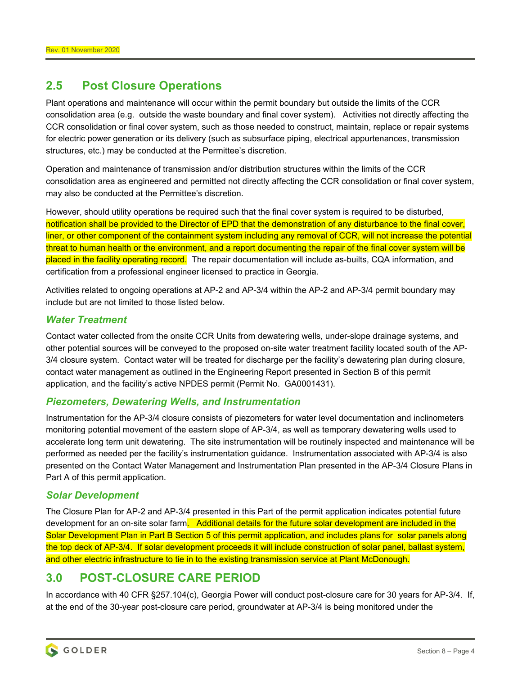### **2.5 Post Closure Operations**

Plant operations and maintenance will occur within the permit boundary but outside the limits of the CCR consolidation area (e.g. outside the waste boundary and final cover system). Activities not directly affecting the CCR consolidation or final cover system, such as those needed to construct, maintain, replace or repair systems for electric power generation or its delivery (such as subsurface piping, electrical appurtenances, transmission structures, etc.) may be conducted at the Permittee's discretion.

Operation and maintenance of transmission and/or distribution structures within the limits of the CCR consolidation area as engineered and permitted not directly affecting the CCR consolidation or final cover system, may also be conducted at the Permittee's discretion.

However, should utility operations be required such that the final cover system is required to be disturbed, notification shall be provided to the Director of EPD that the demonstration of any disturbance to the final cover, liner, or other component of the containment system including any removal of CCR, will not increase the potential threat to human health or the environment, and a report documenting the repair of the final cover system will be placed in the facility operating record. The repair documentation will include as-builts, CQA information, and certification from a professional engineer licensed to practice in Georgia.

Activities related to ongoing operations at AP-2 and AP-3/4 within the AP-2 and AP-3/4 permit boundary may include but are not limited to those listed below.

### *Water Treatment*

Contact water collected from the onsite CCR Units from dewatering wells, under-slope drainage systems, and other potential sources will be conveyed to the proposed on-site water treatment facility located south of the AP-3/4 closure system. Contact water will be treated for discharge per the facility's dewatering plan during closure, contact water management as outlined in the Engineering Report presented in Section B of this permit application, and the facility's active NPDES permit (Permit No. GA0001431).

#### *Piezometers, Dewatering Wells, and Instrumentation*

Instrumentation for the AP-3/4 closure consists of piezometers for water level documentation and inclinometers monitoring potential movement of the eastern slope of AP-3/4, as well as temporary dewatering wells used to accelerate long term unit dewatering. The site instrumentation will be routinely inspected and maintenance will be performed as needed per the facility's instrumentation guidance. Instrumentation associated with AP-3/4 is also presented on the Contact Water Management and Instrumentation Plan presented in the AP-3/4 Closure Plans in Part A of this permit application.

#### *Solar Development*

The Closure Plan for AP-2 and AP-3/4 presented in this Part of the permit application indicates potential future development for an on-site solar farm. Additional details for the future solar development are included in the Solar Development Plan in Part B Section 5 of this permit application, and includes plans for solar panels along the top deck of AP-3/4. If solar development proceeds it will include construction of solar panel, ballast system, and other electric infrastructure to tie in to the existing transmission service at Plant McDonough.

### **3.0 POST-CLOSURE CARE PERIOD**

In accordance with 40 CFR §257.104(c), Georgia Power will conduct post-closure care for 30 years for AP-3/4. If, at the end of the 30-year post-closure care period, groundwater at AP-3/4 is being monitored under the